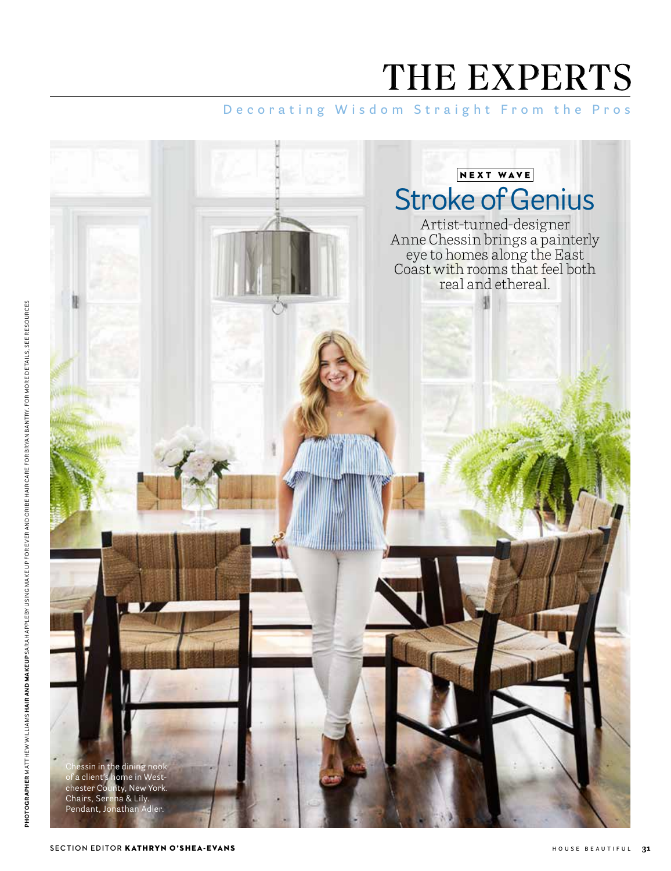# THE EXPERTS

### **Decorating Wisdom Straight From the Pros**